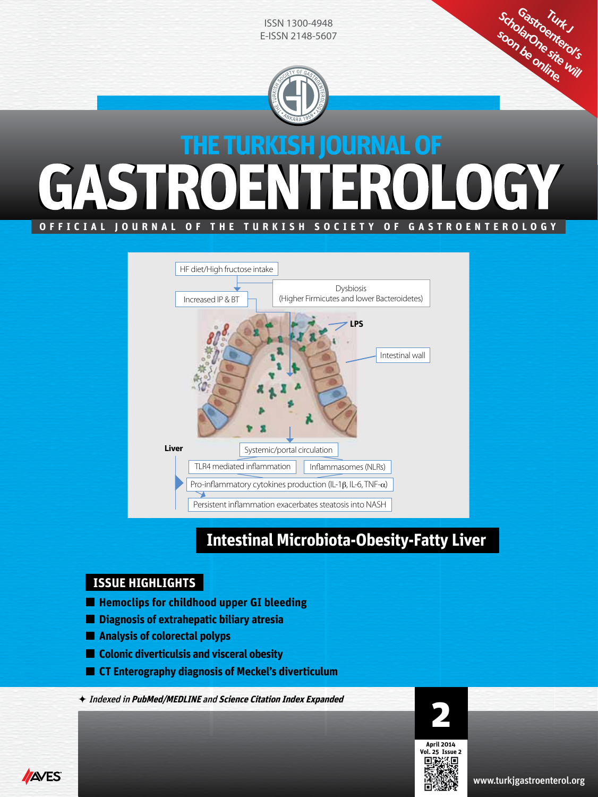

**OFFICIAL JOURNAL OF THE TURKISH SOCIETY OF GASTROENTEROLOGY**



# **Intestinal Microbiota-Obesity-Fatty Liver**

# **ISSUE HIGHLIGHTS**

- **Hemoclips for childhood upper GI bleeding**
- **Diagnosis of extrahepatic biliary atresia**
- **Analysis of colorectal polyps**
- **Colonic diverticulsis and visceral obesity**
- **CT Enterography diagnosis of Meckel's diverticulum**

Indexed in **PubMed/MEDLINE** and **Science Citation Index Expanded**





www.turkjgastroenterol.org

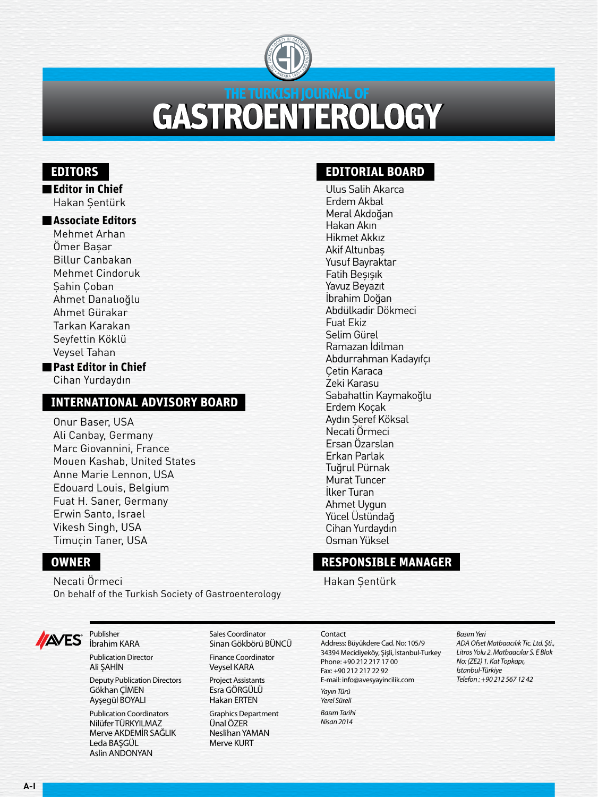

# **GASTROENTEROLOGY**

# **EDITORS**

**Editor in Chief** Hakan Şentürk

### **Associate Editors**

Mehmet Arhan Ömer Başar Billur Canbakan Mehmet Cindoruk Şahin Çoban Ahmet Danalıoğlu Ahmet Gürakar Tarkan Karakan Seyfettin Köklü Veysel Tahan

**Past Editor in Chief** Cihan Yurdaydın

# **INTERNATIONAL ADVISORY BOARD**

Onur Baser, USA Ali Canbay, Germany Marc Giovannini, France Mouen Kashab, United States Anne Marie Lennon, USA Edouard Louis, Belgium Fuat H. Saner, Germany Erwin Santo, Israel Vikesh Singh, USA Timuçin Taner, USA

# **OWNER**

Necati Örmeci On behalf of the Turkish Society of Gastroenterology

> Sales Coordinator Sinan Gökbörü BÜNCÜ Finance Coordinator Veysel KARA Project Assistants Esra GÖRGÜLÜ Hakan ERTEN Graphics Department Ünal ÖZER Neslihan YAMAN Merve KURT



Publisher İbrahim KARA Publication Director Ali ŞAHİN

Deputy Publication Directors Gökhan ÇİMEN Ayşegül BOYALI

Publication Coordinators Nilüfer TÜRKYILMAZ Merve AKDEMİR SAĞLIK Leda BAŞGÜL Aslin ANDONYAN

# **EDITORIAL BOARD**

Ulus Salih Akarca Erdem Akbal Meral Akdoğan Hakan Akın Hikmet Akkız Akif Altunbaş Yusuf Bayraktar Fatih Beşışık Yavuz Beyazıt İbrahim Doğan Abdülkadir Dökmeci Fuat Ekiz Selim Gürel Ramazan İdilman Abdurrahman Kadayıfçı Çetin Karaca Zeki Karasu Sabahattin Kaymakoğlu Erdem Koçak Aydın Şeref Köksal Necati Örmeci Ersan Özarslan Erkan Parlak Tuğrul Pürnak Murat Tuncer İlker Turan Ahmet Uygun Yücel Üstündağ Cihan Yurdaydın Osman Yüksel

# **RESPONSIBLE MANAGER**

Hakan Şentürk

#### **Contact**

Address: Büyükdere Cad. No: 105/9 34394 Mecidiyeköy, Şişli, İstanbul-Turkey Phone: +90 212 217 17 00 Fax: +90 212 217 22 92 E-mail: info@avesyayincilik.com *Yayın Türü Yerel Süreli Basım Tarihi Nisan 2014*

#### *Basım Yeri*

*ADA Ofset Matbaacılık Tic. Ltd. Şti., Litros Yolu 2. Matbaacılar S. E Blok No: (ZE2) 1. Kat Topkapı, İstanbul-Türkiye Telefon : +90 212 567 12 42*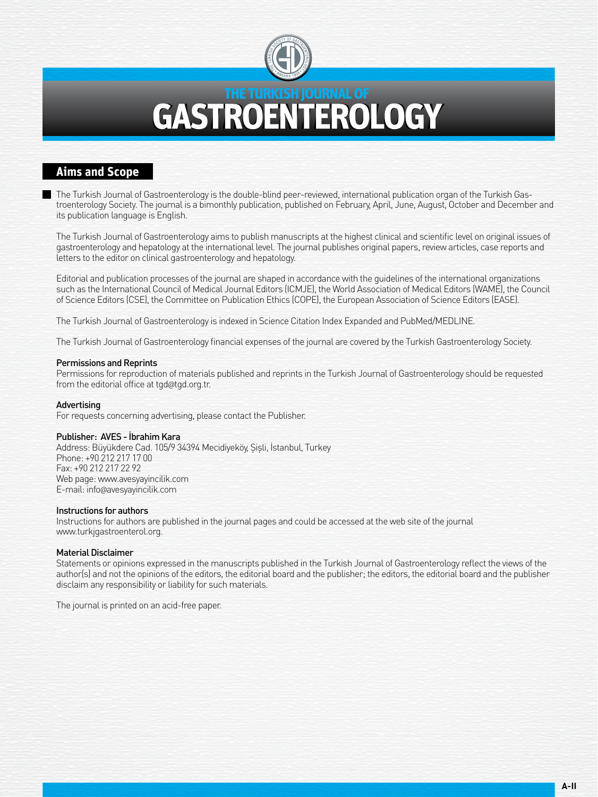

# **THE TURKISH JOURNAL OF TEROLOGY**

## **Aims and Scope**

The Turkish Journal of Gastroenterology is the double-blind peer-reviewed, international publication organ of the Turkish Gastroenterology Society. The journal is a bimonthly publication, published on February, April, June, August, October and December and its publication language is English.

The Turkish Journal of Gastroenterology aims to publish manuscripts at the highest clinical and scientific level on original issues of gastroenterology and hepatology at the international level. The journal publishes original papers, review articles, case reports and letters to the editor on clinical gastroenterology and hepatology.

Editorial and publication processes of the journal are shaped in accordance with the guidelines of the international organizations such as the International Council of Medical Journal Editors (ICMJE), the World Association of Medical Editors (WAME), the Council of Science Editors (CSE), the Committee on Publication Ethics (COPE), the European Association of Science Editors (EASE).

The Turkish Journal of Gastroenterology is indexed in Science Citation Index Expanded and PubMed/MEDLINE.

The Turkish Journal of Gastroenterology financial expenses of the journal are covered by the Turkish Gastroenterology Society.

#### Permissions and Reprints

Permissions for reproduction of materials published and reprints in the Turkish Journal of Gastroenterology should be requested from the editorial office at tgd@tgd.org.tr.

#### Advertising

For requests concerning advertising, please contact the Publisher.

#### Publisher: AVES - İbrahim Kara

Address: Büyükdere Cad. 105/9 34394 Mecidiyeköy, Şişli, İstanbul, Turkey Phone: +90 212 217 17 00 Fax: +90 212 217 22 92 Web page: www.avesyayincilik.com E-mail: info@avesyayincilik.com

#### Instructions for authors

Instructions for authors are published in the journal pages and could be accessed at the web site of the journal www.turkjgastroenterol.org.

#### Material Disclaimer

Statements or opinions expressed in the manuscripts published in the Turkish Journal of Gastroenterology reflect the views of the author(s) and not the opinions of the editors, the editorial board and the publisher; the editors, the editorial board and the publisher disclaim any responsibility or liability for such materials.

The journal is printed on an acid-free paper.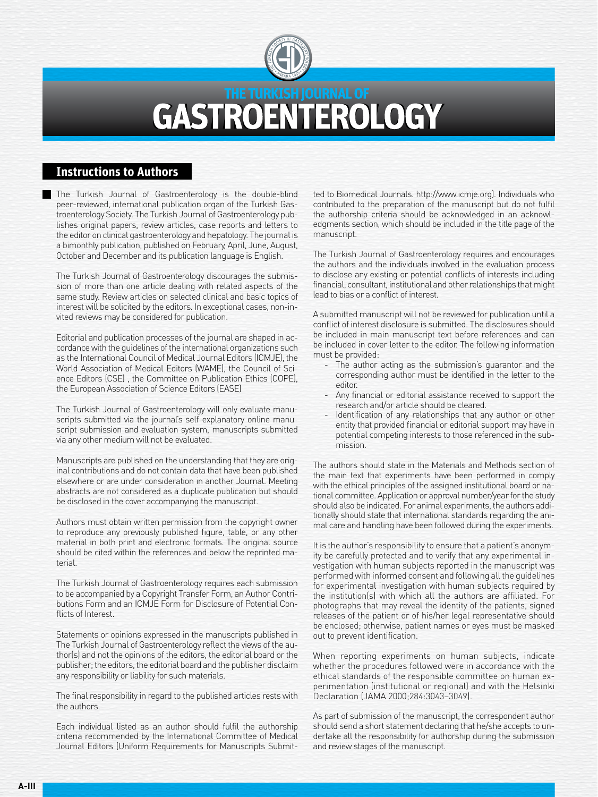

# **GASTROENTEROLOGY**

### **Instructions to Authors**

The Turkish Journal of Gastroenterology is the double-blind peer-reviewed, international publication organ of the Turkish Gastroenterology Society. The Turkish Journal of Gastroenterology publishes original papers, review articles, case reports and letters to the editor on clinical gastroenterology and hepatology. The journal is a bimonthly publication, published on February, April, June, August, October and December and its publication language is English.

The Turkish Journal of Gastroenterology discourages the submission of more than one article dealing with related aspects of the same study. Review articles on selected clinical and basic topics of interest will be solicited by the editors. In exceptional cases, non-invited reviews may be considered for publication.

Editorial and publication processes of the journal are shaped in accordance with the guidelines of the international organizations such as the International Council of Medical Journal Editors (ICMJE), the World Association of Medical Editors (WAME), the Council of Science Editors (CSE) , the Committee on Publication Ethics (COPE), the European Association of Science Editors (EASE)

The Turkish Journal of Gastroenterology will only evaluate manuscripts submitted via the journal's self-explanatory online manuscript submission and evaluation system, manuscripts submitted via any other medium will not be evaluated.

Manuscripts are published on the understanding that they are original contributions and do not contain data that have been published elsewhere or are under consideration in another Journal. Meeting abstracts are not considered as a duplicate publication but should be disclosed in the cover accompanying the manuscript.

Authors must obtain written permission from the copyright owner to reproduce any previously published figure, table, or any other material in both print and electronic formats. The original source should be cited within the references and below the reprinted material.

The Turkish Journal of Gastroenterology requires each submission to be accompanied by a Copyright Transfer Form, an Author Contributions Form and an ICMJE Form for Disclosure of Potential Conflicts of Interest.

Statements or opinions expressed in the manuscripts published in The Turkish Journal of Gastroenterology reflect the views of the author(s) and not the opinions of the editors, the editorial board or the publisher; the editors, the editorial board and the publisher disclaim any responsibility or liability for such materials.

The final responsibility in regard to the published articles rests with the authors.

Each individual listed as an author should fulfil the authorship criteria recommended by the International Committee of Medical Journal Editors (Uniform Requirements for Manuscripts Submitted to Biomedical Journals. http://www.icmje.org). Individuals who contributed to the preparation of the manuscript but do not fulfil the authorship criteria should be acknowledged in an acknowledgments section, which should be included in the title page of the manuscript.

The Turkish Journal of Gastroenterology requires and encourages the authors and the individuals involved in the evaluation process to disclose any existing or potential conflicts of interests including financial, consultant, institutional and other relationships that might lead to bias or a conflict of interest.

A submitted manuscript will not be reviewed for publication until a conflict of interest disclosure is submitted. The disclosures should be included in main manuscript text before references and can be included in cover letter to the editor. The following information must be provided:

- The author acting as the submission's guarantor and the corresponding author must be identified in the letter to the editor.
- Any financial or editorial assistance received to support the research and/or article should be cleared.
- Identification of any relationships that any author or other entity that provided financial or editorial support may have in potential competing interests to those referenced in the submission.

The authors should state in the Materials and Methods section of the main text that experiments have been performed in comply with the ethical principles of the assigned institutional board or national committee. Application or approval number/year for the study should also be indicated. For animal experiments, the authors additionally should state that international standards regarding the animal care and handling have been followed during the experiments.

It is the author's responsibility to ensure that a patient's anonymity be carefully protected and to verify that any experimental investigation with human subjects reported in the manuscript was performed with informed consent and following all the guidelines for experimental investigation with human subjects required by the institution(s) with which all the authors are affiliated. For photographs that may reveal the identity of the patients, signed releases of the patient or of his/her legal representative should be enclosed; otherwise, patient names or eyes must be masked out to prevent identification.

When reporting experiments on human subjects, indicate whether the procedures followed were in accordance with the ethical standards of the responsible committee on human experimentation (institutional or regional) and with the Helsinki Declaration (JAMA 2000;284:3043–3049).

As part of submission of the manuscript, the correspondent author should send a short statement declaring that he/she accepts to undertake all the responsibility for authorship during the submission and review stages of the manuscript.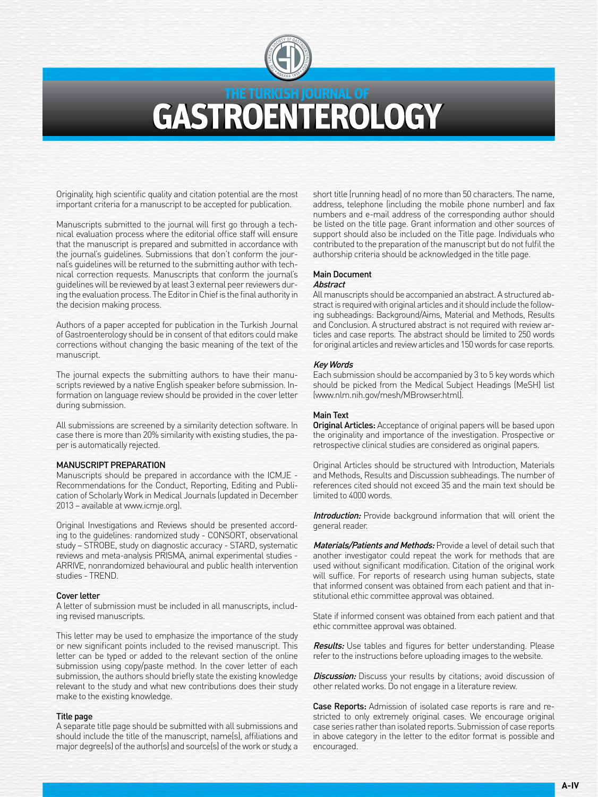

# THE TURKISH JOURNAL OF **GASTROENTEROLOGY**

Originality, high scientific quality and citation potential are the most important criteria for a manuscript to be accepted for publication.

Manuscripts submitted to the journal will first go through a technical evaluation process where the editorial office staff will ensure that the manuscript is prepared and submitted in accordance with the journal's guidelines. Submissions that don't conform the journal's guidelines will be returned to the submitting author with technical correction requests. Manuscripts that conform the journal's guidelines will be reviewed by at least 3 external peer reviewers during the evaluation process. The Editor in Chief is the final authority in the decision making process.

Authors of a paper accepted for publication in the Turkish Journal of Gastroenterology should be in consent of that editors could make corrections without changing the basic meaning of the text of the manuscript.

The journal expects the submitting authors to have their manuscripts reviewed by a native English speaker before submission. Information on language review should be provided in the cover letter during submission.

All submissions are screened by a similarity detection software. In case there is more than 20% similarity with existing studies, the paper is automatically rejected.

#### MANUSCRIPT PREPARATION

Manuscripts should be prepared in accordance with the ICMJE - Recommendations for the Conduct, Reporting, Editing and Publication of Scholarly Work in Medical Journals (updated in December 2013 – available at www.icmje.org).

Original Investigations and Reviews should be presented according to the guidelines: randomized study - CONSORT, observational study – STROBE, study on diagnostic accuracy - STARD, systematic reviews and meta-analysis PRISMA, animal experimental studies - ARRIVE, nonrandomized behavioural and public health intervention studies - TREND.

#### Cover letter

A letter of submission must be included in all manuscripts, including revised manuscripts.

This letter may be used to emphasize the importance of the study or new significant points included to the revised manuscript. This letter can be typed or added to the relevant section of the online submission using copy/paste method. In the cover letter of each submission, the authors should briefly state the existing knowledge relevant to the study and what new contributions does their study make to the existing knowledge.

#### Title page

A separate title page should be submitted with all submissions and should include the title of the manuscript, name(s), affiliations and major degree(s) of the author(s) and source(s) of the work or study, a short title (running head) of no more than 50 characters. The name, address, telephone (including the mobile phone number) and fax numbers and e-mail address of the corresponding author should be listed on the title page. Grant information and other sources of support should also be included on the Title page. Individuals who contributed to the preparation of the manuscript but do not fulfil the authorship criteria should be acknowledged in the title page.

#### Main Document **Abstract**

All manuscripts should be accompanied an abstract. A structured abstract is required with original articles and it should include the following subheadings: Background/Aims, Material and Methods, Results and Conclusion. A structured abstract is not required with review articles and case reports. The abstract should be limited to 250 words for original articles and review articles and 150 words for case reports.

#### Key Words

Each submission should be accompanied by 3 to 5 key words which should be picked from the Medical Subject Headings (MeSH) list (www.nlm.nih.gov/mesh/MBrowser.html).

#### Main Text

**Original Articles:** Acceptance of original papers will be based upon the originality and importance of the investigation. Prospective or retrospective clinical studies are considered as original papers.

Original Articles should be structured with Introduction, Materials and Methods, Results and Discussion subheadings. The number of references cited should not exceed 35 and the main text should be limited to 4000 words.

Introduction: Provide background information that will orient the general reader.

Materials/Patients and Methods: Provide a level of detail such that another investigator could repeat the work for methods that are used without significant modification. Citation of the original work will suffice. For reports of research using human subjects, state that informed consent was obtained from each patient and that institutional ethic committee approval was obtained.

State if informed consent was obtained from each patient and that ethic committee approval was obtained.

Results: Use tables and figures for better understanding. Please refer to the instructions before uploading images to the website.

**Discussion:** Discuss your results by citations; avoid discussion of other related works. Do not engage in a literature review.

Case Reports: Admission of isolated case reports is rare and restricted to only extremely original cases. We encourage original case series rather than isolated reports. Submission of case reports in above category in the letter to the editor format is possible and encouraged.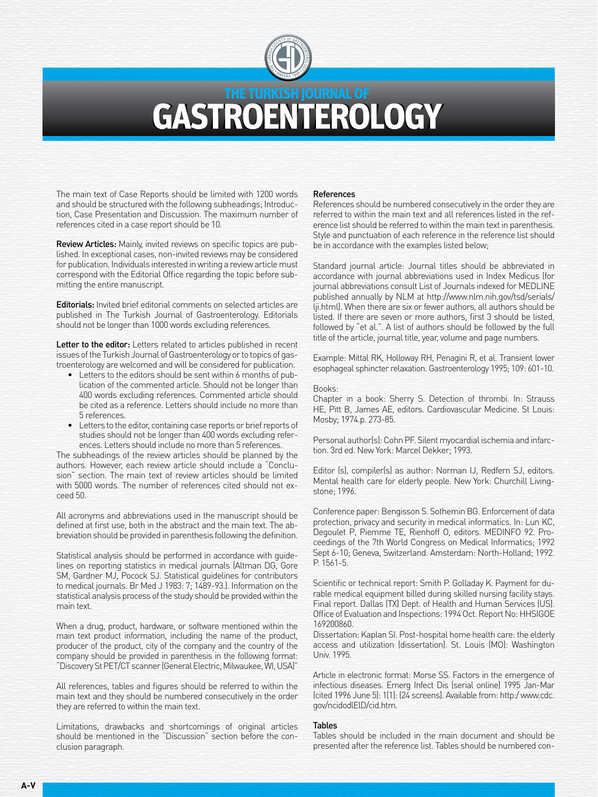

# THE TURKISH JOURNAL OF GAST ROEN TEROLOGY

The main text of Case Reports should be limited with 1200 words and should be structured with the following subheadings; Introduction, Case Presentation and Discussion. The maximum number of references cited in a case report should be 10.

Review Articles: Mainly, invited reviews on specific topics are published. In exceptional cases, non-invited reviews may be considered for publication. Individuals interested in writing a review article must correspond with the Editorial Office regarding the topic before submitting the entire manuscript.

Editorials: Invited brief editorial comments on selected articles are published in The Turkish Journal of Gastroenterology. Editorials should not be longer than 1000 words excluding references.

Letter to the editor: Letters related to articles published in recent issues of the Turkish Journal of Gastroenterology or to topics of gastroenterology are welcomed and will be considered for publication.

- Letters to the editors should be sent within 6 months of publication of the commented article. Should not be longer than 400 words excluding references. Commented article should be cited as a reference. Letters should include no more than 5 references.
- Letters to the editor, containing case reports or brief reports of studies should not be longer than 400 words excluding references. Letters should include no more than 5 references.

The subheadings of the review articles should be planned by the authors. However, each review article should include a "Conclusion" section. The main text of review articles should be limited with 5000 words. The number of references cited should not exceed 50.

All acronyms and abbreviations used in the manuscript should be defined at first use, both in the abstract and the main text. The abbreviation should be provided in parenthesis following the definition.

Statistical analysis should be performed in accordance with guidelines on reporting statistics in medical journals (Altman DG, Gore SM, Gardner MJ, Pocock SJ. Statistical guidelines for contributors to medical journals. Br Med J 1983: 7; 1489-93.). Information on the statistical analysis process of the study should be provided within the main text.

When a drug, product, hardware, or software mentioned within the main text product information, including the name of the product, producer of the product, city of the company and the country of the company should be provided in parenthesis in the following format: "Discovery St PET/CT scanner (General Electric, Milwaukee, WI, USA)"

All references, tables and figures should be referred to within the main text and they should be numbered consecutively in the order they are referred to within the main text.

Limitations, drawbacks and shortcomings of original articles should be mentioned in the "Discussion" section before the conclusion paragraph.

#### References

References should be numbered consecutively in the order they are referred to within the main text and all references listed in the reference list should be referred to within the main text in parenthesis. Style and punctuation of each reference in the reference list should be in accordance with the examples listed below;

Standard journal article: Journal titles should be abbreviated in accordance with journal abbreviations used in Index Medicus (for journal abbreviations consult List of Journals indexed for MEDLINE published annually by NLM at http://www.nlm.nih.gov/tsd/serials/ lji.html). When there are six or fewer authors, all authors should be listed. If there are seven or more authors, first 3 should be listed, followed by "et al.". A list of authors should be followed by the full title of the article, journal title, year, volume and page numbers.

Example: Mittal RK, Holloway RH, Penagini R, et al. Transient lower esophageal sphincter relaxation. Gastroenterology 1995; 109: 601-10.

#### Books:

Chapter in a book: Sherry S. Detection of thrombi. In: Strauss HE, Pitt B, James AE, editors. Cardiovascular Medicine. St Louis: Mosby; 1974.p. 273-85.

Personal author(s): Cohn PF. Silent myocardial ischemia and infarction. 3rd ed. New York: Marcel Dekker; 1993.

Editor (s), compiler(s) as author: Norman IJ, Redfern SJ, editors. Mental health care for elderly people. New York: Churchill Livingstone; 1996.

Conference paper: Bengisson S. Sothemin BG. Enforcement of data protection, privacy and security in medical informatics. In: Lun KC, Degoulet P, Piemme TE, Rienhoff O, editors. MEDINFO 92. Proceedings of the 7th World Congress on Medical Informatics; 1992 Sept 6-10; Geneva, Switzerland. Amsterdam: North-Holland; 1992. P. 1561-5.

Scientific or technical report: Smith P. Golladay K. Payment for durable medical equipment billed during skilled nursing facility stays. Final report. Dallas (TX) Dept. of Health and Human Services (US). Office of Evaluation and Inspections: 1994 Oct. Report No: HHSIGOE 169200860.

Dissertation: Kaplan SI. Post-hospital home health care: the elderly access and utilization (dissertation). St. Louis (MO): Washington Univ. 1995.

Article in electronic format: Morse SS. Factors in the emergence of infectious diseases. Emerg Infect Dis (serial online) 1995 Jan-Mar (cited 1996 June 5): 1(1): (24 screens). Available from: http:/ www.cdc. gov/ncidodlElD/cid.htm.

#### Tables

Tables should be included in the main document and should be presented after the reference list. Tables should be numbered con-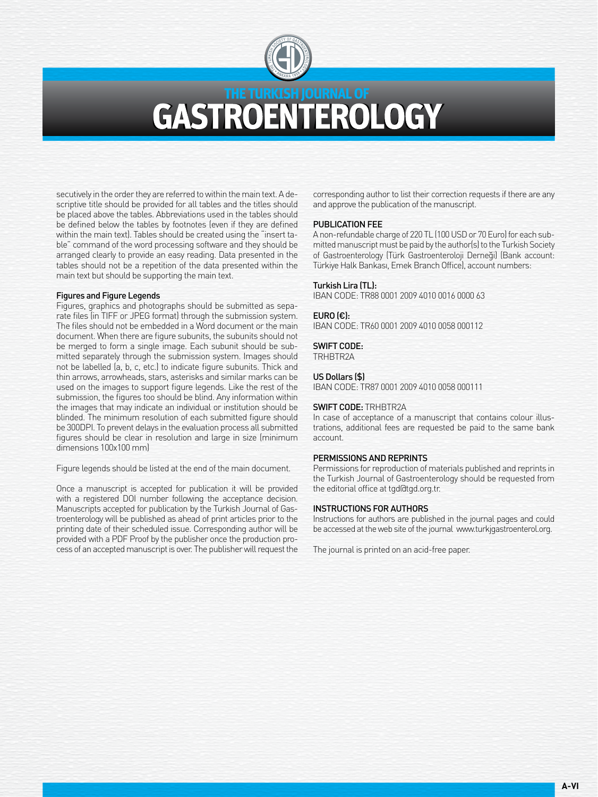

# THE TURKISH JOURNAL OF GASTROENTEROLOGY

secutively in the order they are referred to within the main text. A descriptive title should be provided for all tables and the titles should be placed above the tables. Abbreviations used in the tables should be defined below the tables by footnotes (even if they are defined within the main text). Tables should be created using the "insert table" command of the word processing software and they should be arranged clearly to provide an easy reading. Data presented in the tables should not be a repetition of the data presented within the main text but should be supporting the main text.

#### Figures and Figure Legends

Figures, graphics and photographs should be submitted as separate files (in TIFF or JPEG format) through the submission system. The files should not be embedded in a Word document or the main document. When there are figure subunits, the subunits should not be merged to form a single image. Each subunit should be submitted separately through the submission system. Images should not be labelled (a, b, c, etc.) to indicate figure subunits. Thick and thin arrows, arrowheads, stars, asterisks and similar marks can be used on the images to support figure legends. Like the rest of the submission, the figures too should be blind. Any information within the images that may indicate an individual or institution should be blinded. The minimum resolution of each submitted figure should be 300DPI. To prevent delays in the evaluation process all submitted figures should be clear in resolution and large in size (minimum dimensions 100x100 mm)

Figure legends should be listed at the end of the main document.

Once a manuscript is accepted for publication it will be provided with a registered DOI number following the acceptance decision. Manuscripts accepted for publication by the Turkish Journal of Gastroenterology will be published as ahead of print articles prior to the printing date of their scheduled issue. Corresponding author will be provided with a PDF Proof by the publisher once the production process of an accepted manuscript is over. The publisher will request the corresponding author to list their correction requests if there are any and approve the publication of the manuscript.

#### PUBLICATION FEE

A non-refundable charge of 220 TL (100 USD or 70 Euro) for each submitted manuscript must be paid by the author(s) to the Turkish Society of Gastroenterology (Türk Gastroenteroloji Derneği) (Bank account: Türkiye Halk Bankası, Emek Branch Office), account numbers:

#### Turkish Lira (TL):

IBAN CODE: TR88 0001 2009 4010 0016 0000 63

#### EURO (€):

IBAN CODE: TR60 0001 2009 4010 0058 000112

#### SWIFT CODE:

TRHBTR2A

#### US Dollars (\$)

IBAN CODE: TR87 0001 2009 4010 0058 000111

#### SWIFT CODE: TRHBTR2A

In case of acceptance of a manuscript that contains colour illustrations, additional fees are requested be paid to the same bank account.

#### PERMISSIONS AND REPRINTS

Permissions for reproduction of materials published and reprints in the Turkish Journal of Gastroenterology should be requested from the editorial office at tgd@tgd.org.tr.

#### INSTRUCTIONS FOR AUTHORS

Instructions for authors are published in the journal pages and could be accessed at the web site of the journal www.turkjgastroenterol.org.

The journal is printed on an acid-free paper.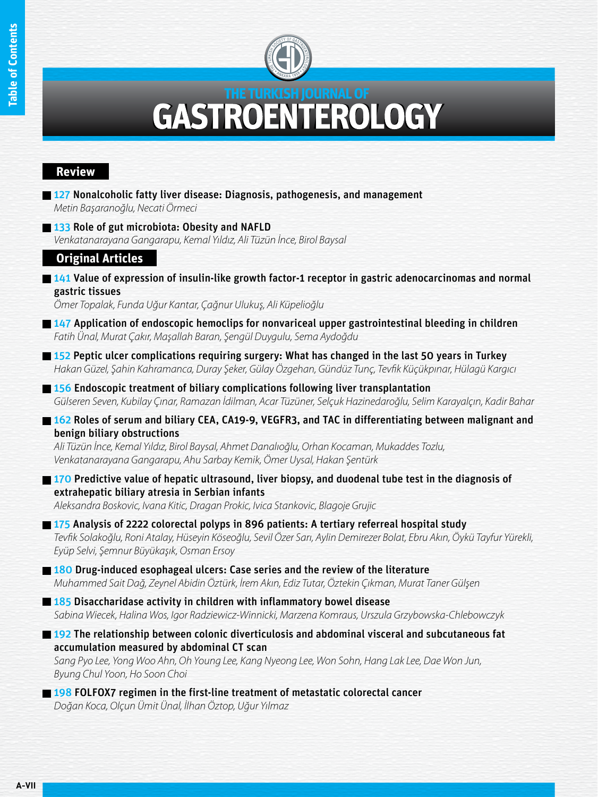

# THE TURKISH JOURNAL OF **GASTROENTEROLOGY**

### **Review**

- 127 Nonalcoholic fatty liver disease: Diagnosis, pathogenesis, and management *Metin Başaranoğlu, Necati Örmeci*
- **133 Role of gut microbiota: Obesity and NAFLD**

*Venkatanarayana Gangarapu, Kemal Yıldız, Ali Tüzün İnce, Birol Baysal*

## **Original Articles**

 $\blacksquare$  141 Value of expression of insulin-like growth factor-1 receptor in gastric adenocarcinomas and normal gastric tissues

*Ömer Topalak, Funda Uğur Kantar, Çağnur Ulukuş, Ali Küpelioğlu*

- $\blacksquare$  147 Application of endoscopic hemoclips for nonvariceal upper gastrointestinal bleeding in children *Fatih Ünal, Murat Çakır, Maşallah Baran, Şengül Duygulu, Sema Aydoğdu*
- 152 Peptic ulcer complications requiring surgery: What has changed in the last 50 years in Turkey *Hakan Güzel, Şahin Kahramanca, Duray Şeker, Gülay Özgehan, Gündüz Tunç, Tevfik Küçükpınar, Hülagü Kargıcı*
- **156 Endoscopic treatment of biliary complications following liver transplantation** *Gülseren Seven, Kubilay Çınar, Ramazan İdilman, Acar Tüzüner, Selçuk Hazinedaroğlu, Selim Karayalçın, Kadir Bahar*
- 162 Roles of serum and biliary CEA, CA19-9, VEGFR3, and TAC in differentiating between malignant and benign biliary obstructions

*Ali Tüzün İnce, Kemal Yıldız, Birol Baysal, Ahmet Danalıoğlu, Orhan Kocaman, Mukaddes Tozlu, Venkatanarayana Gangarapu, Ahu Sarbay Kemik, Ömer Uysal, Hakan Şentürk*

170 Predictive value of hepatic ultrasound, liver biopsy, and duodenal tube test in the diagnosis of extrahepatic biliary atresia in Serbian infants

*Aleksandra Boskovic, Ivana Kitic, Dragan Prokic, Ivica Stankovic, Blagoje Grujic*

175 Analysis of 2222 colorectal polyps in 896 patients: A tertiary referreal hospital study *Tevfik Solakoğlu, Roni Atalay, Hüseyin Köseoğlu, Sevil Özer Sarı, Aylin Demirezer Bolat, Ebru Akın, Öykü Tayfur Yürekli, Eyüp Selvi, Şemnur Büyükaşık, Osman Ersoy*

180 Drug-induced esophageal ulcers: Case series and the review of the literature *Muhammed Sait Dağ, Zeynel Abidin Öztürk, İrem Akın, Ediz Tutar, Öztekin Çıkman, Murat Taner Gülşen*

**185 Disaccharidase activity in children with inflammatory bowel disease** *Sabina Wiecek, Halina Wos, Igor Radziewicz-Winnicki, Marzena Komraus, Urszula Grzybowska-Chlebowczyk*

**192** The relationship between colonic diverticulosis and abdominal visceral and subcutaneous fat accumulation measured by abdominal CT scan

*Sang Pyo Lee, Yong Woo Ahn, Oh Young Lee, Kang Nyeong Lee, Won Sohn, Hang Lak Lee, Dae Won Jun, Byung Chul Yoon, Ho Soon Choi*

**198 FOLFOX7** regimen in the first-line treatment of metastatic colorectal cancer *Doğan Koca, Olçun Ümit Ünal, İlhan Öztop, Uğur Yılmaz*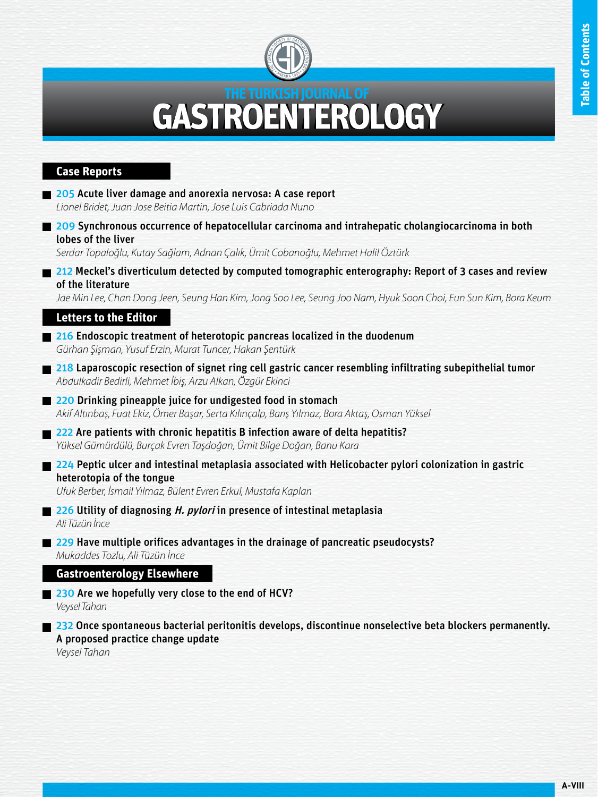

# NTEROLOGY GAST

## **Case Reports**

- **205 Acute liver damage and anorexia nervosa: A case report** *Lionel Bridet, Juan Jose Beitia Martin, Jose Luis Cabriada Nuno*
- 209 Synchronous occurrence of hepatocellular carcinoma and intrahepatic cholangiocarcinoma in both lobes of the liver

*Serdar Topaloğlu, Kutay Sağlam, Adnan Çalık, Ümit Cobanoğlu, Mehmet Halil Öztürk*

212 Meckel's diverticulum detected by computed tomographic enterography: Report of 3 cases and review of the literature

*Jae Min Lee, Chan Dong Jeen, Seung Han Kim, Jong Soo Lee, Seung Joo Nam, Hyuk Soon Choi, Eun Sun Kim, Bora Keum*

## **Letters to the Editor**

- 216 Endoscopic treatment of heterotopic pancreas localized in the duodenum *Gürhan Şişman, Yusuf Erzin, Murat Tuncer, Hakan Şentürk*
- 218 Laparoscopic resection of signet ring cell gastric cancer resembling infiltrating subepithelial tumor *Abdulkadir Bedirli, Mehmet İbiş, Arzu Alkan, Özgür Ekinci*
- 220 Drinking pineapple juice for undigested food in stomach *Akif Altınbaş, Fuat Ekiz, Ömer Başar, Serta Kılınçalp, Barış Yılmaz, Bora Aktaş, Osman Yüksel*
- 222 Are patients with chronic hepatitis B infection aware of delta hepatitis? *Yüksel Gümürdülü, Burçak Evren Taşdoğan, Ümit Bilge Doğan, Banu Kara*
- $\Box$  224 Peptic ulcer and intestinal metaplasia associated with Helicobacter pylori colonization in gastric heterotopia of the tongue

*Ufuk Berber, İsmail Yılmaz, Bülent Evren Erkul, Mustafa Kaplan*

- 226 Utility of diagnosing *H. pylori* in presence of intestinal metaplasia *Ali Tüzün İnce*
- 229 Have multiple orifices advantages in the drainage of pancreatic pseudocysts? *Mukaddes Tozlu, Ali Tüzün İnce*

### **Gastroenterology Elsewhere**

230 Are we hopefully very close to the end of HCV? *Veysel Tahan*

232 Once spontaneous bacterial peritonitis develops, discontinue nonselective beta blockers permanently. A proposed practice change update

*Veysel Tahan*